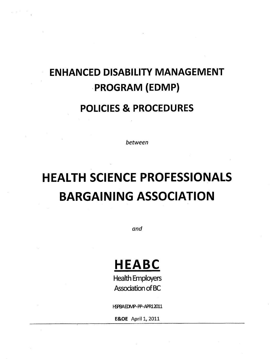# **ENHANCED DISABILITY MANAGEMENT PROGRAM (EDMP)**

### **POLICIES & PROCEDURES**

between

# **HEALTH SCIENCE PROFESSIONALS BARGAINING ASSOCIATION**

and

## **HEABC**

**Health Employers Association of BC** 

HSPBAEDMP-PP-APR12011

**E&OE** April 1, 2011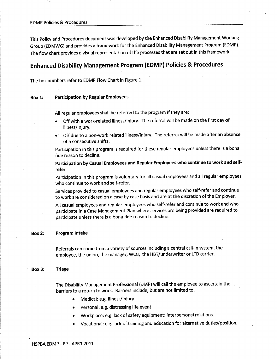This policy and Procedures document was developed by the Enhanced Disability Management Working Group (EDMWG) and provides a framework for the Enhanced Disability Management Program (EDMP). The flow chart provides a visual representation of the processes that are set out in this framework.

#### Enhanced Disability Management Program (EDMP) Policies & Procedures

The box numbers refer to EDMP Flow Chart in Figure 1.

#### Box 1: Participation by Regular Employees

All regular employees shall be referred to the program if they are:

- Off with a work-related illness/injury. The referral will be made on the first day of illness/injury.
- $\bullet$  Off due to a non-work related illness/injury. The referral will be made after an absence of 5 consecutive shifts.

Participation in this program is required for these regular employees unless there is a bona fide reason to decline.

Participation by Casual Employees and Regular Employees who continue to work and selfrefer

participation in this program is voluntary for all casual employees and all regular employees who continue to work and self-refer.

Services provided to casual employees and regular employees who self-refer and continue to work are considered on a case by case basis and are at the discretion of the Employer.

All casual employees and regular employees who self-refer and continue to work and who participate in a Case Management Plan where services are being provided are required to participate unless there is a bona fide reason to decline.

#### Box 2: Program lntake

Referrals can come from a variety of sources including a central call-in system, the employee, the union, the manager, WCB, the HBT/underwriter or LTD carrier.

#### Box 3: Triage

.

The Disability Management Professional (DMP) will call the employee to ascertain the barriers to a return to work. Barriers include, but are not limited to:

- Medical: e.g. illness/injury.
- Personal: e.g. distressing life event.
- Workplace: e.g. lack of safety equipment; interpersonal relations.
- Vocational: e.g. lack of training and education for alternative duties/position.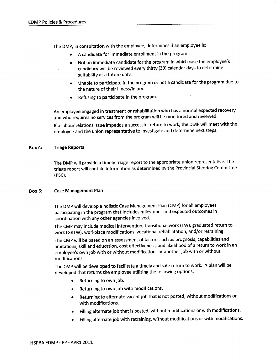The DMP, in consultation with the employee, determines if an employee is:

- A candidate for immediate enrollment in the program.
- Not an immediate candidate for the program in which case the employee's candidacy will be reviewed every thirty (30) calendar days to determine suitability at a future date.
- Unable to participate in the program or not a candidate for the program due to the nature of their illness/injury.
- Refusing to participate in the program.

An employee engaged in treatment or rehabilitation who has a normal expected recovery and who requires no services from the program will be monitored and reviewed.

lf a labour relations issue impedes a successful return to work, the DMP will meet with the employee and the union representative to investigate and determine next steps.

#### Box 4: Triage Reports

The DMp will provide a timely triage report to the appropriate union representative. The triage report will contain information as determined by the Provincial Steering Committee (PSc).

#### Box 5: Case Management Plan

The DMP will develop a holistic Case Management Plan (CMP) for all employees participating in the program that includes milestones and expected outcomes in coordination with any other agencies involved.

The CMp may include medical intervention, transitional work (TW), graduated return to work (GRTW), workplace modifications, vocational rehabilitation, and/or retraining.

The CMP will be based on an assessment of factors such as prognosis, capabilities and limitations, skill and education, cost effectiveness, and likelihood of a return to work in an employee's own job with or without modifications or another job with or without modifications.

The CMp will be developed to facilitate a timely and safe return to work. A plan will be developed that returns the employee utilizing the following options:

- Returning to own job.
- Returning to own job with modifications.
- Returning to alternate vacant job that is not posted, without modifications or with modifications.
- o Filling alternate job that is posted, without modifications or with modifications.
- Filling alternate job with retraining, without modifications or with modifications.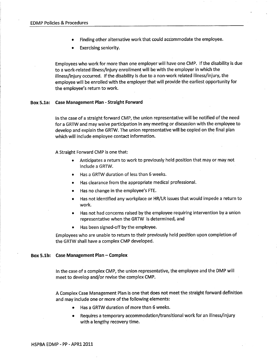- Finding other alternative work that could accommodate the employee.
- Exercising seniority.

Employees who work for more than one employer will have one CMP. If the disability is due to a work-related illness/injury enrollment will be with the employer in which the illness/injury occurred. If the disability is due to a non-work related illness/injury, the employee will be enrolled with the employer that will provide the earliest opportunity for the employee's return to work.

#### Box 5.1a: Case Management Plan - Straight Forward

In the case of a straight forward CMP, the union representative will be notified of the need for a GRTW and may waive participation in any meeting or discussion with the employee to develop and explain the GRTW. The union representative will be copied on the final plan which will include employee contact information.

A Straight Forward CMP is one that:

- Anticipates a return to work to previously held position that may or may not include a GRTW.
- Has a GRTW duration of less than 6 weeks.
- Has clearance from the appropriate medical professional.
- Has no change in the employee's FTE.  $\bullet$
- $\bullet$ Has not identified any workplace or HR/LR issues that would impede a return to work.
- Has not had concerns raised by the employee requiring intervention by a union representative when the GRTW is determined, and
- Has been signed-off by the employee.

Employees who are unable to return to their previously held position upon completion of the GRTW shall have a complex CMP developed.

#### Box 5.1b: Case Management Plan - Complex

In the case of a complex CMP, the union representative, the employee and the DMP will meet to develop and/or revise the complex CMP.

A Complex Case Management Plan is one that does not meet the straight forward definition and may include one or more of the following elements:

- Has a GRTW duration of more than 6 weeks.
- Requires a temporary accommodation/transitional work for an illness/injury  $\bullet$ with a lengthy recovery time.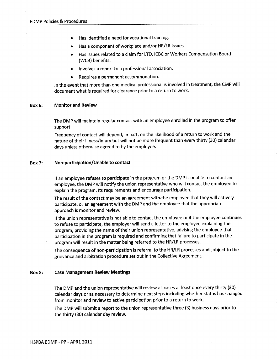- Has identified a need for vocational training.
- 
- Has a component of workplace and/or HR/LR issues.<br>Has issues related to a claim for LTD, ICBC or Workers Compensation Board (WCB) benefits.
- Involves a report to a professional association.
- Requires a permanent accommodation.

ln the event that more than one medical professional is involved in treatment, the CMP will document what is required for clearance prior to a return to work.

#### Box 6: Monitor and Review

The DMP will maintain regular contact with an employee enrolled in the program to offer support.

Frequency of contact will depend, in part, on the likelihood of a return to work and the nature of their illness/injury but will not be more frequent than every thirty (30) calendar days unless otherwise agreed to by the employee.

#### Box 7: Non-participation/Unable to contact

lf an employee refuses to participate in the program or the DMP is unable to contact an employee, the DMP will notify the union representative who wíll contact the employee to explain the program, íts requirements and encourage participation.

The result of the contact may be an agreement with the employee that they will actively participate, or an agreement with the DMP and the employee that the appropríate approach is monitor and review.

lf the union representative is not able to contact the employee or if the employee continues to refuse to participate, the employer will send a letter to the employee explaining the program, providing the name of their union representative, advising the employee that participation in the program is requíred and confirming that failure to participate ín the program wíll result in the matter being referred to the HR/LR processes.

The consequence of non-participation is referral to the HR/LR processes and subject to the grievance and arbitration procedure set out in the Collective Agreement.

#### Box 8: Case Management Review Meetings

The DMP and the union representative will review all cases at least once every thirty (30) calendar days or as necessary to determine next steps including whether status has changed from monitor and review to active participation prior to a return to work.

The DMP will submit a report to the union representative three (3) business days prior to the thirty (30) calendar day review.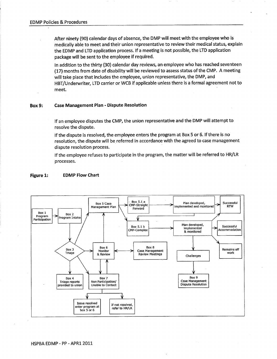After ninety (90) calendar days of absence, the DMP will meet with the employee who is medically able to meet and their union representative to review their medical status, explain the EDMP and LTD application process. lf a meeting is not possible, the LTD application package will be sent to the employee if required.

ln addition to the thirty (30) calendar day reviews, an employee who has reached seventeen (17) months from date of disabillty will be reviewed to assess status of the CMP. A meeting will take place that includes the employee, union representative, the DMP, and HBT/Underwriter, LTD carrier or WCB if applicable unless there is a formal agreement not to meet.

#### Box 9: Case Management Plan - Dispute Resolution

lf an employee disputes the CMP, the union representative and the DMP will attempt to resolve the dispute.

lf the dispute is resolved, the employee enters the program at Box 5 or 6. lf there is no resolution, the dispute will be referred in accordance with the agreed to case management dispute resolution process.

lf the employee refuses to participate in the program, the matter will be referred to HR/LR processes.

#### Figure 1: EDMP Flow Chart

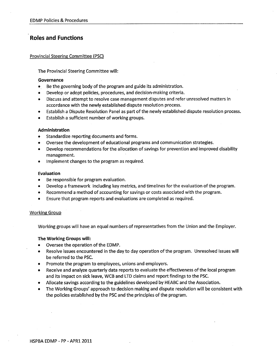### Roles and Functions

#### Províncial Steerins Committee (PSC)

The Provincial Steering Committee will:

#### Governance

- Be the governing body of the program and guide its administration.
- Develop or adopt policies, procedures, and decision-making criteria.
- Discuss and attempt to resolve case management disputes and refer unresolved matters in accordance wíth the newly established dispute resolution process.
- Establish a Dispute Resolution Panel as part of the newly established dispute resolution process.
- Establish a sufficient number of working groups.

#### Administration

- Standardize reporting documents and forms.
- Oversee the development of educational programs and communication strategies.
- Develop recommendations for the allocation of savings for prevention and improved disability management.
- Implement changes to the program as required.

#### Evaluation

- Be responsible for program evaluation.
- r Develop a framework including key metrics, and timelines for the evaluation of the program.
- Recommend a method of accounting for savings or costs associated with the program.
- Ensure that program reports and evaluations are completed as required.

#### **Working Group**

Working groups will have an equal numbers of representatives from the Union and the Employer,

#### The Working Groups will:

- Oversee the operation of the EDMP.
- Resolve issues encountered in the day to day operation of the program. Unresolved issues will be referred to the PSC.
- . Promote the program to employees, unions and employers.
- Receive and analyze quarterly data reports to evaluate the effectiveness of the local program and its impact on sick leave, WCB and LTD claims and report findings to the PSC.
- Allocate savings according to the guidelines developed by HEABC and the Association.
- The Working Groups' approach to decision making and dispute resolution will be consistent with the policies established by the PSC and the principles of the program.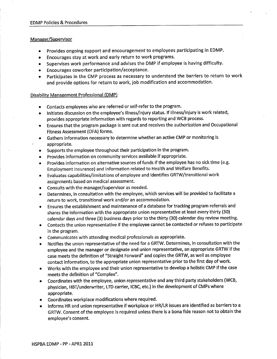#### Manager/Supervisor

- o Provides ongoing support and encouragement to employees participating in EDMP.
- Encourages stay at work and early return to work programs.
- Supervises work performance and advises the DMP if employee is having difficulty.
- o Encourages coworker participation/acceptance.
- Participates in the CMP process as necessary to understand the barriers to return to work and provide options for return to work, job modification and accommodation.

#### Disability Management Professional (DMP)

- Contacts employees who are referred or self-refer to the program.
- o lnitiates discussion on the employee's illness/injury status. lf illness/injury is work related, provides appropriate information with regards to reporting and WCB process.
- Ensures that the program package is sent out and receives the authorization and Occupational Fitness Assessment (OFA) forms.
- o Gathers information necessary to determine whether an active CMP or monitoring is ' appropriate.
- o Supports the employee throughout their participation in the program.
- Provides information on community services available if appropriate.
- Provides information on alternative sources of funds if the employee has no sick time (e.g. Employment lnsurance) and information related to Health and Welfare Benefits.
- Evaluates capabilities/limitations of employee and identifies GRTW/transitional work assignments based on medical assessment.
- Consults with the manager/supervisor as needed.
- . Determines, in consultation with the employee, which services will be provided to facilitate <sup>a</sup> return to work, transitional work and/or an accommodation.
- Ensures the establishment and maintenance of a database for tracking program referrals and shares the information with the appropriate union representative at least every thirty (30) calendar days and three (3) business days prior to the thirty (30) calendar day review meeting.
- o Contacts the union representative if the employee cannot be contacted or refuses to participate in the program.
- Communicates with attending medical professionals as appropriate.
- Notifies the union representative of the need for a GRTW. Determines, in consultation with the employee and the manager or designate and union representative, an appropriate GRTW if the case meets the definitíon of "straight Forward" and copies the GRTW, as well as employee contact information, to the appropriate union representative prior to the first day of work.
- Works with the employee and their union representative to develop a holistic CMP if the case meets the definition of "Complex".
- o Coordinates with the employee, union representative and any third party stakeholders (WCB, physician, HBT/underwriter, LTD carrier, ICBC, etc.) in the development of CMPs where appropriate.
- **•** Coordinates workplace modifications where required.
- o lnforms HR and union representative if workplace or HR/LR issues are identified as barriers to <sup>a</sup> GRTW. Consent of the employee is required unless there is a bona fide reason not to obtain the employee's consent.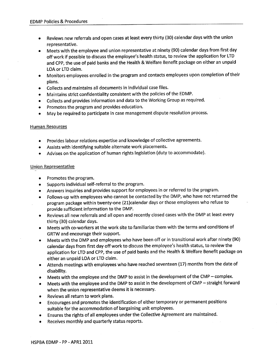- Reviews new referrals and open cases at least every thirty (30) calendar days with the union representative.
- Meets with the employee and union representative at ninety (90) calendar days from first day off work if possible to discuss the employee's health status, to review the application for LTD and CPP, the use of paid banks and the Health & Welfare Benefit package on either an unpaid LOA or LTD claim.
- Monitors employees enrolled in the program and contacts employees upon completion of their plans.
- Collects and maintains all documents in individual case files.
- Maintains strict confidentiality consistent with the policies of the EDMP.
- Collects and provides information and data to the Working Group as required.
- Promotes the program and provides education.
- . May be required to participate in case management dispute resolution process.

#### Human Resources

- **•** Provides labour relations expertise and knowledge of collective agreements.
- Assists with identifying suitable alternate work placements.
- Advises on the application of human rights legislation (duty to accommodate).

#### Union Representative

- $\bullet$  Promotes the program.
- . Supports individual self-referral to the program.
- Answers inquiries and provides support for employees in or referred to the program.
- Follows-up with employees who cannot be contacted by the DMP, who have not returned the program package within twenty-one (2L)calendar days or those employees who refuse to provide sufficient information to the DMP.
- o Reviews all new referrals and all open and recently closed cases with the DMP at least every thírty (30) calendar days.
- Meets with co-workers at the work site to familiarize them with the terms and conditions of GRTW and encourage their support.
- o Meets with the DMP and employees who have been off or in transitional work after ninety (90) calendar days from first day off work to discuss the employee's health status, to review the application for LTD and CPP, the use of paid banks and the Health & Welfare Benefit package on either an unpaid LOA or LTD claim.
- Attends meetings with employees who have reached seventeen (17) months from the date of disability.
- Meets with the employee and the DMP to assist in the development of the CMP  $-$  complex.
- Meets with the employee and the DMP to assist in the development of CMP straight forward when the union representative deems it is necessary.
- Reviews all return to work plans.
- Encourages and promotes the identification of either temporary or permanent positions suitable for the accommodation of bargaining unit employees.
- Ensures the rights of all employees under the Collective Agreement are maintained.
- Receives monthly and quarterly status reports.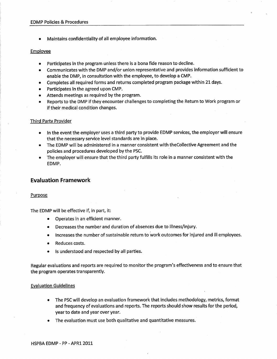Maintains confidentiality of all employee information.

#### Emplovee

- Participates in the program unless there is a bona fide reason to decline.
- o Communicates with the DMP and/or union representative and provides information sufficient to enable the DMP, in consultation with the employee, to develop a CMP.
- Completes all required forms and returns completed program package within 21 days.
- Participates in the agreed upon CMP.
- Attends meetings as required by the program.
- . Reports to the DMP if they encounter challenges to completing the Return to Work program or if their medical condition changes.

#### Third Partv Provider

- e ln the event the employer uses a third party to provide EDMP services, the employer will ensure that the necessary service level standards are in place.
- The EDMP will be administered in a manner consistent with theCollective Agreement and the policies and procedures developed by the PSC.
- . The employer will ensure that the third party fulfills its role in a manner consistent with the EDMP.

#### Evaluation Framework

#### Purpose

The EDMP will be effective if, in part, it:

- Operates in an efficient manner.
- Decreases the number and duration of absences due to illness/injury.
- Increases the number of sustainable return to work outcomes for injured and ill employees.
- Reduces costs.
- Is understood and respected by all parties.

Regular evaluations and reports are required to monitor the program's effectiveness and to ensure that the program operates transparently.

#### Evaluation Guidelines

- The PSC will develop an evaluation framework that includes methodology, metrics, format and frequency of evaluations and reports. The reports should show results for the period, year to date and year over year.
- The evaluation must use both qualitative and quantitative measures.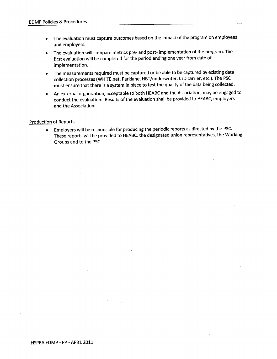- The evaluation must capture outcomes based on the impact of the program on employees  $\bullet$ and employers.
- The evaluation will compare metrics pre- and post- implementation of the program. The first evaluation will be completed for the period ending one year from date of implementation.
- The measurements required must be captured or be able to be captured by existing data  $\bullet$ collection processes (WHlTE.net, Parklane, HBT/underwriter, LTD carrier, etc.). The PSC must ensure that there is a system in place to test the quality of the data being collected.
- An external organization, acceptable to both HEABC and the Association, may be engaged to  $\bullet$ conduct the evaluation. Results of the evaluation shall be provided to HEABC, employers and the Association.

#### **Production of Reports**

o Employers will be responsible for producing the periodic reports as directed by the PSC. These reports will be provided to HEABC, the designated union representatives, the Working Groups and to the PSC.